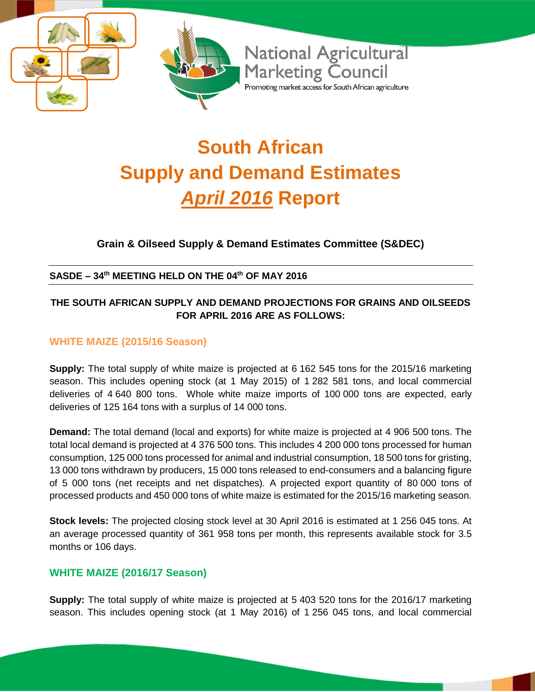

# **South African Supply and Demand Estimates**  *April 2016* **Report**

# **Grain & Oilseed Supply & Demand Estimates Committee (S&DEC)**

#### **SASDE – 34 th MEETING HELD ON THE 04 th OF MAY 2016**

#### **THE SOUTH AFRICAN SUPPLY AND DEMAND PROJECTIONS FOR GRAINS AND OILSEEDS FOR APRIL 2016 ARE AS FOLLOWS:**

#### **WHITE MAIZE (2015/16 Season)**

**Supply:** The total supply of white maize is projected at 6 162 545 tons for the 2015/16 marketing season. This includes opening stock (at 1 May 2015) of 1 282 581 tons, and local commercial deliveries of 4 640 800 tons. Whole white maize imports of 100 000 tons are expected, early deliveries of 125 164 tons with a surplus of 14 000 tons.

**Demand:** The total demand (local and exports) for white maize is projected at 4 906 500 tons. The total local demand is projected at 4 376 500 tons. This includes 4 200 000 tons processed for human consumption, 125 000 tons processed for animal and industrial consumption, 18 500 tons for gristing, 13 000 tons withdrawn by producers, 15 000 tons released to end-consumers and a balancing figure of 5 000 tons (net receipts and net dispatches). A projected export quantity of 80 000 tons of processed products and 450 000 tons of white maize is estimated for the 2015/16 marketing season.

**Stock levels:** The projected closing stock level at 30 April 2016 is estimated at 1 256 045 tons. At an average processed quantity of 361 958 tons per month, this represents available stock for 3.5 months or 106 days.

#### **WHITE MAIZE (2016/17 Season)**

**Supply:** The total supply of white maize is projected at 5 403 520 tons for the 2016/17 marketing season. This includes opening stock (at 1 May 2016) of 1 256 045 tons, and local commercial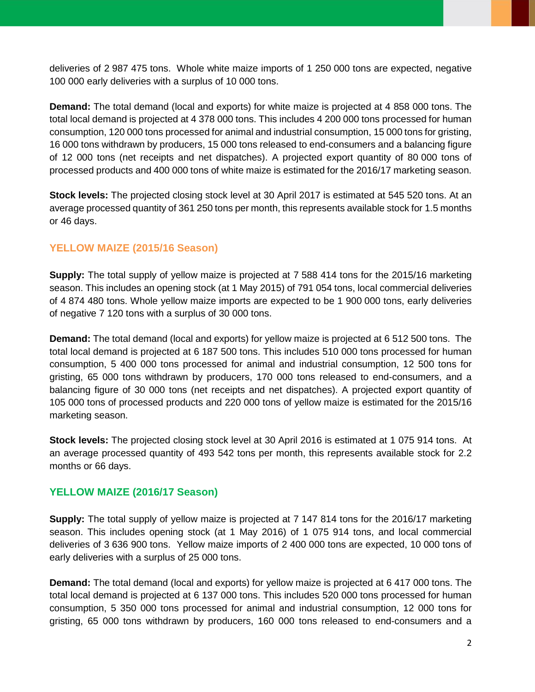deliveries of 2 987 475 tons. Whole white maize imports of 1 250 000 tons are expected, negative 100 000 early deliveries with a surplus of 10 000 tons.

**Demand:** The total demand (local and exports) for white maize is projected at 4 858 000 tons. The total local demand is projected at 4 378 000 tons. This includes 4 200 000 tons processed for human consumption, 120 000 tons processed for animal and industrial consumption, 15 000 tons for gristing, 16 000 tons withdrawn by producers, 15 000 tons released to end-consumers and a balancing figure of 12 000 tons (net receipts and net dispatches). A projected export quantity of 80 000 tons of processed products and 400 000 tons of white maize is estimated for the 2016/17 marketing season.

**Stock levels:** The projected closing stock level at 30 April 2017 is estimated at 545 520 tons. At an average processed quantity of 361 250 tons per month, this represents available stock for 1.5 months or 46 days.

### **YELLOW MAIZE (2015/16 Season)**

**Supply:** The total supply of yellow maize is projected at 7 588 414 tons for the 2015/16 marketing season. This includes an opening stock (at 1 May 2015) of 791 054 tons, local commercial deliveries of 4 874 480 tons. Whole yellow maize imports are expected to be 1 900 000 tons, early deliveries of negative 7 120 tons with a surplus of 30 000 tons.

**Demand:** The total demand (local and exports) for yellow maize is projected at 6 512 500 tons. The total local demand is projected at 6 187 500 tons. This includes 510 000 tons processed for human consumption, 5 400 000 tons processed for animal and industrial consumption, 12 500 tons for gristing, 65 000 tons withdrawn by producers, 170 000 tons released to end-consumers, and a balancing figure of 30 000 tons (net receipts and net dispatches). A projected export quantity of 105 000 tons of processed products and 220 000 tons of yellow maize is estimated for the 2015/16 marketing season.

**Stock levels:** The projected closing stock level at 30 April 2016 is estimated at 1 075 914 tons. At an average processed quantity of 493 542 tons per month, this represents available stock for 2.2 months or 66 days.

#### **YELLOW MAIZE (2016/17 Season)**

**Supply:** The total supply of yellow maize is projected at 7 147 814 tons for the 2016/17 marketing season. This includes opening stock (at 1 May 2016) of 1 075 914 tons, and local commercial deliveries of 3 636 900 tons. Yellow maize imports of 2 400 000 tons are expected, 10 000 tons of early deliveries with a surplus of 25 000 tons.

**Demand:** The total demand (local and exports) for yellow maize is projected at 6 417 000 tons. The total local demand is projected at 6 137 000 tons. This includes 520 000 tons processed for human consumption, 5 350 000 tons processed for animal and industrial consumption, 12 000 tons for gristing, 65 000 tons withdrawn by producers, 160 000 tons released to end-consumers and a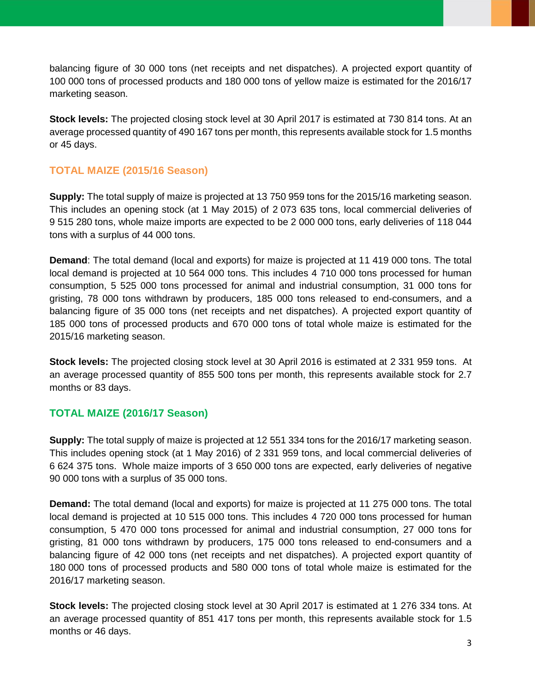balancing figure of 30 000 tons (net receipts and net dispatches). A projected export quantity of 100 000 tons of processed products and 180 000 tons of yellow maize is estimated for the 2016/17 marketing season.

**Stock levels:** The projected closing stock level at 30 April 2017 is estimated at 730 814 tons. At an average processed quantity of 490 167 tons per month, this represents available stock for 1.5 months or 45 days.

## **TOTAL MAIZE (2015/16 Season)**

**Supply:** The total supply of maize is projected at 13 750 959 tons for the 2015/16 marketing season. This includes an opening stock (at 1 May 2015) of 2 073 635 tons, local commercial deliveries of 9 515 280 tons, whole maize imports are expected to be 2 000 000 tons, early deliveries of 118 044 tons with a surplus of 44 000 tons.

**Demand**: The total demand (local and exports) for maize is projected at 11 419 000 tons. The total local demand is projected at 10 564 000 tons. This includes 4 710 000 tons processed for human consumption, 5 525 000 tons processed for animal and industrial consumption, 31 000 tons for gristing, 78 000 tons withdrawn by producers, 185 000 tons released to end-consumers, and a balancing figure of 35 000 tons (net receipts and net dispatches). A projected export quantity of 185 000 tons of processed products and 670 000 tons of total whole maize is estimated for the 2015/16 marketing season.

**Stock levels:** The projected closing stock level at 30 April 2016 is estimated at 2 331 959 tons. At an average processed quantity of 855 500 tons per month, this represents available stock for 2.7 months or 83 days.

#### **TOTAL MAIZE (2016/17 Season)**

**Supply:** The total supply of maize is projected at 12 551 334 tons for the 2016/17 marketing season. This includes opening stock (at 1 May 2016) of 2 331 959 tons, and local commercial deliveries of 6 624 375 tons. Whole maize imports of 3 650 000 tons are expected, early deliveries of negative 90 000 tons with a surplus of 35 000 tons.

**Demand:** The total demand (local and exports) for maize is projected at 11 275 000 tons. The total local demand is projected at 10 515 000 tons. This includes 4 720 000 tons processed for human consumption, 5 470 000 tons processed for animal and industrial consumption, 27 000 tons for gristing, 81 000 tons withdrawn by producers, 175 000 tons released to end-consumers and a balancing figure of 42 000 tons (net receipts and net dispatches). A projected export quantity of 180 000 tons of processed products and 580 000 tons of total whole maize is estimated for the 2016/17 marketing season.

**Stock levels:** The projected closing stock level at 30 April 2017 is estimated at 1 276 334 tons. At an average processed quantity of 851 417 tons per month, this represents available stock for 1.5 months or 46 days.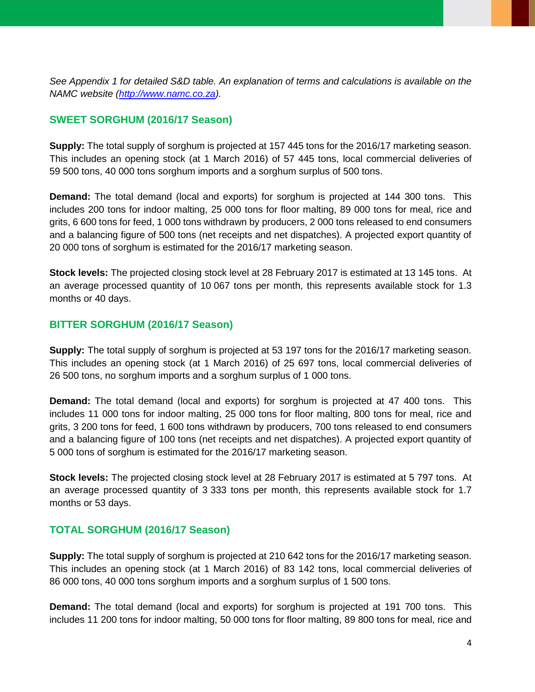*See Appendix 1 for detailed S&D table. An explanation of terms and calculations is available on the NAMC website [\(http://www.namc.co.za\)](http://www.namc.co.za/).*

### **SWEET SORGHUM (2016/17 Season)**

**Supply:** The total supply of sorghum is projected at 157 445 tons for the 2016/17 marketing season. This includes an opening stock (at 1 March 2016) of 57 445 tons, local commercial deliveries of 59 500 tons, 40 000 tons sorghum imports and a sorghum surplus of 500 tons.

**Demand:** The total demand (local and exports) for sorghum is projected at 144 300 tons. This includes 200 tons for indoor malting, 25 000 tons for floor malting, 89 000 tons for meal, rice and grits, 6 600 tons for feed, 1 000 tons withdrawn by producers, 2 000 tons released to end consumers and a balancing figure of 500 tons (net receipts and net dispatches). A projected export quantity of 20 000 tons of sorghum is estimated for the 2016/17 marketing season.

**Stock levels:** The projected closing stock level at 28 February 2017 is estimated at 13 145 tons. At an average processed quantity of 10 067 tons per month, this represents available stock for 1.3 months or 40 days.

### **BITTER SORGHUM (2016/17 Season)**

**Supply:** The total supply of sorghum is projected at 53 197 tons for the 2016/17 marketing season. This includes an opening stock (at 1 March 2016) of 25 697 tons, local commercial deliveries of 26 500 tons, no sorghum imports and a sorghum surplus of 1 000 tons.

**Demand:** The total demand (local and exports) for sorghum is projected at 47 400 tons. This includes 11 000 tons for indoor malting, 25 000 tons for floor malting, 800 tons for meal, rice and grits, 3 200 tons for feed, 1 600 tons withdrawn by producers, 700 tons released to end consumers and a balancing figure of 100 tons (net receipts and net dispatches). A projected export quantity of 5 000 tons of sorghum is estimated for the 2016/17 marketing season.

**Stock levels:** The projected closing stock level at 28 February 2017 is estimated at 5 797 tons. At an average processed quantity of 3 333 tons per month, this represents available stock for 1.7 months or 53 days.

## **TOTAL SORGHUM (2016/17 Season)**

**Supply:** The total supply of sorghum is projected at 210 642 tons for the 2016/17 marketing season. This includes an opening stock (at 1 March 2016) of 83 142 tons, local commercial deliveries of 86 000 tons, 40 000 tons sorghum imports and a sorghum surplus of 1 500 tons.

**Demand:** The total demand (local and exports) for sorghum is projected at 191 700 tons. This includes 11 200 tons for indoor malting, 50 000 tons for floor malting, 89 800 tons for meal, rice and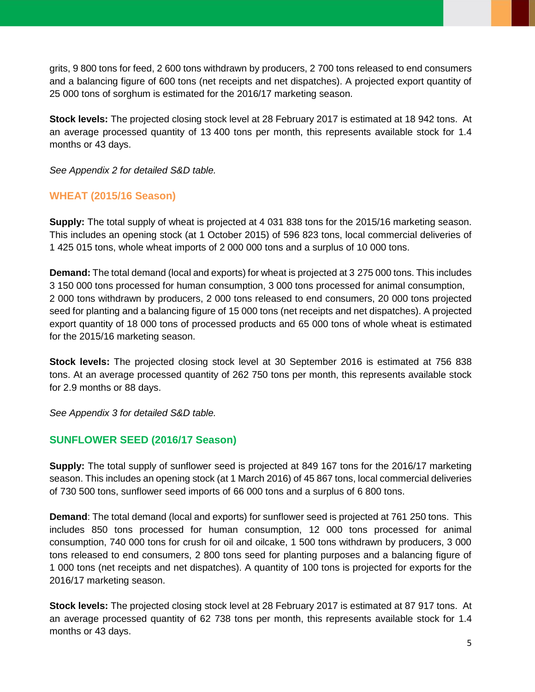grits, 9 800 tons for feed, 2 600 tons withdrawn by producers, 2 700 tons released to end consumers and a balancing figure of 600 tons (net receipts and net dispatches). A projected export quantity of 25 000 tons of sorghum is estimated for the 2016/17 marketing season.

**Stock levels:** The projected closing stock level at 28 February 2017 is estimated at 18 942 tons. At an average processed quantity of 13 400 tons per month, this represents available stock for 1.4 months or 43 days.

*See Appendix 2 for detailed S&D table.*

# **WHEAT (2015/16 Season)**

**Supply:** The total supply of wheat is projected at 4 031 838 tons for the 2015/16 marketing season. This includes an opening stock (at 1 October 2015) of 596 823 tons, local commercial deliveries of 1 425 015 tons, whole wheat imports of 2 000 000 tons and a surplus of 10 000 tons.

**Demand:** The total demand (local and exports) for wheat is projected at 3 275 000 tons. This includes 3 150 000 tons processed for human consumption, 3 000 tons processed for animal consumption, 2 000 tons withdrawn by producers, 2 000 tons released to end consumers, 20 000 tons projected seed for planting and a balancing figure of 15 000 tons (net receipts and net dispatches). A projected export quantity of 18 000 tons of processed products and 65 000 tons of whole wheat is estimated for the 2015/16 marketing season.

**Stock levels:** The projected closing stock level at 30 September 2016 is estimated at 756 838 tons. At an average processed quantity of 262 750 tons per month, this represents available stock for 2.9 months or 88 days.

*See Appendix 3 for detailed S&D table.*

## **SUNFLOWER SEED (2016/17 Season)**

**Supply:** The total supply of sunflower seed is projected at 849 167 tons for the 2016/17 marketing season. This includes an opening stock (at 1 March 2016) of 45 867 tons, local commercial deliveries of 730 500 tons, sunflower seed imports of 66 000 tons and a surplus of 6 800 tons.

**Demand**: The total demand (local and exports) for sunflower seed is projected at 761 250 tons. This includes 850 tons processed for human consumption, 12 000 tons processed for animal consumption, 740 000 tons for crush for oil and oilcake, 1 500 tons withdrawn by producers, 3 000 tons released to end consumers, 2 800 tons seed for planting purposes and a balancing figure of 1 000 tons (net receipts and net dispatches). A quantity of 100 tons is projected for exports for the 2016/17 marketing season.

**Stock levels:** The projected closing stock level at 28 February 2017 is estimated at 87 917 tons. At an average processed quantity of 62 738 tons per month, this represents available stock for 1.4 months or 43 days.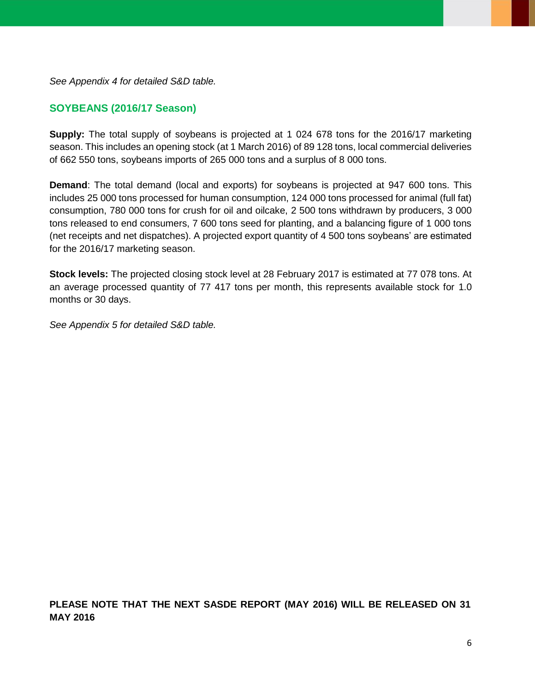*See Appendix 4 for detailed S&D table.*

#### **SOYBEANS (2016/17 Season)**

**Supply:** The total supply of soybeans is projected at 1 024 678 tons for the 2016/17 marketing season. This includes an opening stock (at 1 March 2016) of 89 128 tons, local commercial deliveries of 662 550 tons, soybeans imports of 265 000 tons and a surplus of 8 000 tons.

**Demand**: The total demand (local and exports) for soybeans is projected at 947 600 tons. This includes 25 000 tons processed for human consumption, 124 000 tons processed for animal (full fat) consumption, 780 000 tons for crush for oil and oilcake, 2 500 tons withdrawn by producers, 3 000 tons released to end consumers, 7 600 tons seed for planting, and a balancing figure of 1 000 tons (net receipts and net dispatches). A projected export quantity of 4 500 tons soybeans' are estimated for the 2016/17 marketing season.

**Stock levels:** The projected closing stock level at 28 February 2017 is estimated at 77 078 tons. At an average processed quantity of 77 417 tons per month, this represents available stock for 1.0 months or 30 days.

*See Appendix 5 for detailed S&D table.*

**PLEASE NOTE THAT THE NEXT SASDE REPORT (MAY 2016) WILL BE RELEASED ON 31 MAY 2016**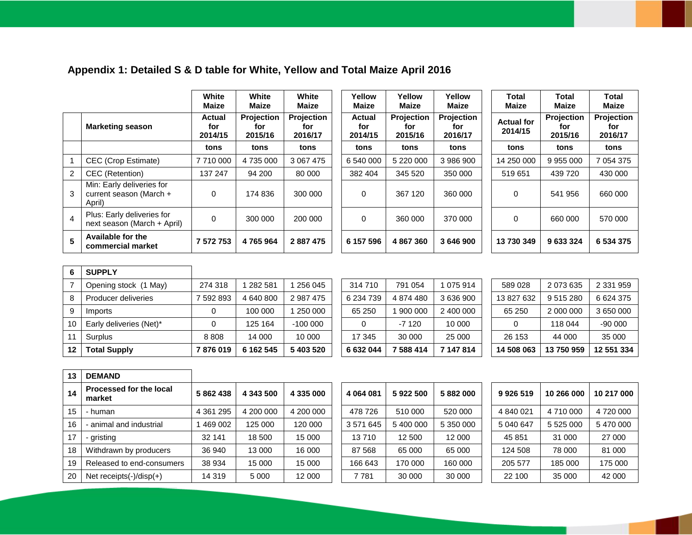# **Appendix 1: Detailed S & D table for White, Yellow and Total Maize April 2016**

|                |                                                                 | White<br>Maize                  | White<br><b>Maize</b>               | White<br><b>Maize</b>               | Yellow<br>Maize          | Yellow<br><b>Maize</b>              | Yellow<br>Maize              | Total<br>Maize               | <b>Total</b><br><b>Maize</b> | <b>Total</b><br><b>Maize</b> |
|----------------|-----------------------------------------------------------------|---------------------------------|-------------------------------------|-------------------------------------|--------------------------|-------------------------------------|------------------------------|------------------------------|------------------------------|------------------------------|
|                | <b>Marketing season</b>                                         | <b>Actual</b><br>for<br>2014/15 | <b>Projection</b><br>for<br>2015/16 | <b>Projection</b><br>for<br>2016/17 | Actual<br>for<br>2014/15 | <b>Projection</b><br>for<br>2015/16 | Projection<br>for<br>2016/17 | <b>Actual for</b><br>2014/15 | Projection<br>for<br>2015/16 | Projection<br>for<br>2016/17 |
|                |                                                                 | tons                            | tons                                | tons                                | tons                     | tons                                | tons                         | tons                         | tons                         | tons                         |
|                | CEC (Crop Estimate)                                             | 7710000                         | 4 735 000                           | 3 067 475                           | 6 540 000                | 5 220 000                           | 3 986 900                    | 14 250 000                   | 9 9 5 000                    | 7 054 375                    |
| $\overline{2}$ | CEC (Retention)                                                 | 137 247                         | 94 200                              | 80 000                              | 382 404                  | 345 520                             | 350 000                      | 519 651                      | 439 720                      | 430 000                      |
| 3              | Min: Early deliveries for<br>current season (March +<br>April). | 0                               | 174 836                             | 300 000                             | 0                        | 367 120                             | 360 000                      | $\Omega$                     | 541 956                      | 660 000                      |
| $\overline{4}$ | Plus: Early deliveries for<br>next season (March + April)       | 0                               | 300 000                             | 200 000                             | 0                        | 360 000                             | 370 000                      | $\Omega$                     | 660 000                      | 570 000                      |
| 5              | Available for the<br>commercial market                          | 7 572 753                       | 4765964                             | 2887475                             | 6 157 596                | 4 867 360                           | 3646900                      | 13 730 349                   | 9633324                      | 6 534 375                    |

| 6  | <b>SUPPLY</b>           |           |           |           |           |           |           |            |           |               |
|----|-------------------------|-----------|-----------|-----------|-----------|-----------|-----------|------------|-----------|---------------|
|    | Opening stock (1 May)   | 274 318   | 282 581   | 256 045   | 314 710   | 791 054   | 1 075 914 | 589 028    | 2 073 635 | 2 3 3 1 9 5 9 |
| 8  | Producer deliveries     | 7 592 893 | 4 640 800 | 2 987 475 | 6 234 739 | 4 874 480 | 3636900   | 13 827 632 | 9 515 280 | 6 624 375     |
| 9  | Imports                 |           | 100 000   | 250 000   | 65 250    | 900 000   | 2 400 000 | 65 250     | 2 000 000 | 3 650 000     |
| 10 | Early deliveries (Net)* |           | 125 164   | $-100000$ |           | $-7120$   | 10 000    |            | 118 044   | $-90000$      |
| 11 | Surplus                 | 8808      | 14 000    | 10 000    | 17 345    | 30 000    | 25 000    | 26 153     | 44 000    | 35 000        |
| 12 | <b>Total Supply</b>     | 7876019   | 6 162 545 | 5 403 520 | 6 632 044 | 7 588 414 | 7 147 814 | 14 508 063 | 13750959  | 12 551 334    |

| 632 044 | 7 588 414 | 7 147 814 | 14 508 063 | 1375    |
|---------|-----------|-----------|------------|---------|
| 17 345  | 30 000    | 25 000    | 26 153     | 44      |
|         | $-7120$   | 10 000    |            | 118     |
| 35 250  | 1 900 000 | 2 400 000 | 65 250     | 2 0 0 0 |
| 234 739 | 4 874 480 | 3 636 900 | 13 827 632 | 9515    |
| 14 710  | 791 054   | 1 075 914 | 589 028    | 2 0 73  |
|         |           |           |            |         |

| 14 508 063 | 13750959  | 12 551 334 |
|------------|-----------|------------|
| 26 153     | 44 000    | 35 000     |
| O          | 118 044   | $-9000$    |
| 65 250     | 2 000 000 | 3 650 000  |
| 13827632   | 9515280   | 6624375    |
| 589 028    | 2 073 635 | 2 331 959  |

**Projection for 2016/17**

| 13  | <b>DEMAND</b>                     |             |           |           |           |           |           |           |            |            |
|-----|-----------------------------------|-------------|-----------|-----------|-----------|-----------|-----------|-----------|------------|------------|
| 14  | Processed for the local<br>market | 5862438     | 4 343 500 | 4 335 000 | 4 064 081 | 5922500   | 5882000   | 9926519   | 10 266 000 | 10 217 000 |
| 15  | · human                           | 4 3 61 2 95 | 4 200 000 | 4 200 000 | 478 726   | 510 000   | 520 000   | 4 840 021 | 4710000    | 4720000    |
| 16  | animal and industrial             | 469 002     | 125 000   | 120 000   | 3 571 645 | 5 400 000 | 5 350 000 | 5 040 647 | 5 525 000  | 5470000    |
| 17  | - aristina                        | 32 141      | 18 500    | 15 000    | 13710     | 12 500    | 12 000    | 45 851    | 31 000     | 27 000     |
| 18  | Withdrawn by producers            | 36 940      | 13 000    | 16 000    | 87 568    | 65 000    | 65 000    | 124 508   | 78 000     | 81 000     |
| 19  | Released to end-consumers         | 38 934      | 15 000    | 15 000    | 166 643   | 170 000   | 160 000   | 205 577   | 185 000    | 175 000    |
| -20 | Net receipts $(-)/$ disp $(+)$    | 14 319      | 5 0 0 0   | 12 000    | 7781      | 30 000    | 30 000    | 22 100    | 35 000     | 42 000     |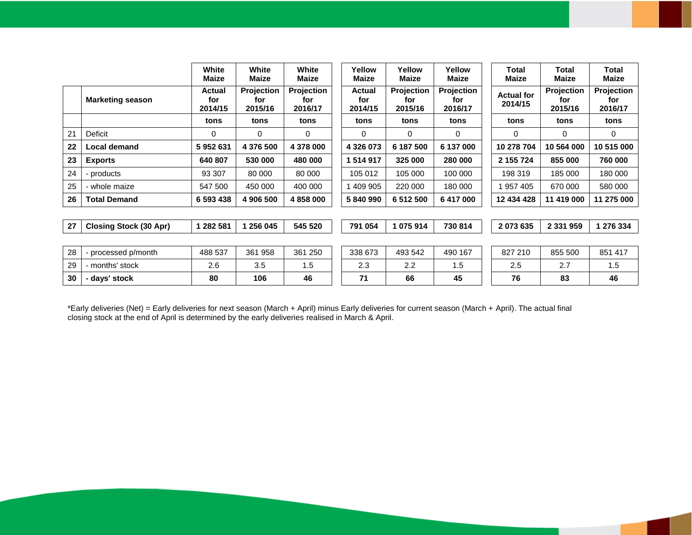|    |                               | White<br><b>Maize</b>    | White<br><b>Maize</b>               | White<br><b>Maize</b>               | Yellow<br>Maize                 | Yellow<br>Maize                     | Yellow<br><b>Maize</b>       | Total<br><b>Maize</b>        | Total<br>Maize                      | <b>Total</b><br><b>Maize</b>        |
|----|-------------------------------|--------------------------|-------------------------------------|-------------------------------------|---------------------------------|-------------------------------------|------------------------------|------------------------------|-------------------------------------|-------------------------------------|
|    | <b>Marketing season</b>       | Actual<br>for<br>2014/15 | <b>Projection</b><br>for<br>2015/16 | <b>Projection</b><br>for<br>2016/17 | <b>Actual</b><br>for<br>2014/15 | <b>Projection</b><br>for<br>2015/16 | Projection<br>for<br>2016/17 | <b>Actual for</b><br>2014/15 | <b>Projection</b><br>for<br>2015/16 | <b>Projection</b><br>for<br>2016/17 |
|    |                               | tons                     | tons                                | tons                                | tons                            | tons                                | tons                         | tons                         | tons                                | tons                                |
| 21 | Deficit                       | $\Omega$                 | $\Omega$                            | $\Omega$                            | 0                               | 0                                   | $\Omega$                     | $\Omega$                     | 0                                   | 0                                   |
| 22 | <b>Local demand</b>           | 5952631                  | 4 376 500                           | 4 378 000                           | 4 3 2 6 0 7 3                   | 6 187 500                           | 6 137 000                    | 10 278 704                   | 10 564 000                          | 10 515 000                          |
| 23 | <b>Exports</b>                | 640 807                  | 530 000                             | 480 000                             | 1 514 917                       | 325 000                             | 280 000                      | 2 155 724                    | 855 000                             | 760 000                             |
| 24 | - products                    | 93 307                   | 80 000                              | 80 000                              | 105 012                         | 105 000                             | 100 000                      | 198 319                      | 185 000                             | 180 000                             |
| 25 | - whole maize                 | 547 500                  | 450 000                             | 400 000                             | 409 905                         | 220 000                             | 180 000                      | 957405                       | 670 000                             | 580 000                             |
| 26 | <b>Total Demand</b>           | 6 593 438                | 4 906 500                           | 4 858 000                           | 5840990                         | 6 512 500                           | 6 417 000                    | 12 434 428                   | 11 419 000                          | 11 275 000                          |
|    |                               |                          |                                     |                                     |                                 |                                     |                              |                              |                                     |                                     |
| 27 | <b>Closing Stock (30 Apr)</b> | 1 282 581                | 1 256 045                           | 545 520                             | 791 054                         | 1 075 914                           | 730 814                      | 2073635                      | 2 3 3 1 9 5 9                       | 1 276 334                           |
|    |                               |                          |                                     |                                     |                                 |                                     |                              |                              |                                     |                                     |
| 28 | - processed p/month           | 488 537                  | 361 958                             | 361 250                             | 338 673                         | 493 542                             | 490 167                      | 827 210                      | 855 500                             | 851 417                             |
| 29 | - months' stock               | 2.6                      | 3.5                                 | 1.5                                 | 2.3                             | 2.2                                 | 1.5                          | 2.5                          | 2.7                                 | 1.5                                 |
| 30 | - days' stock                 | 80                       | 106                                 | 46                                  | 71                              | 66                                  | 45                           | 76                           | 83                                  | 46                                  |

\*Early deliveries (Net) = Early deliveries for next season (March + April) minus Early deliveries for current season (March + April). The actual final closing stock at the end of April is determined by the early deliveries realised in March & April.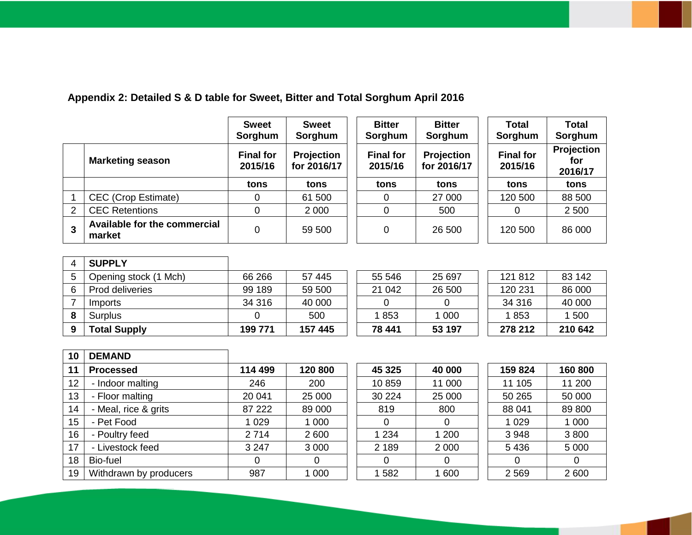# **Appendix 2: Detailed S & D table for Sweet, Bitter and Total Sorghum April 2016**

|               |                                        | <b>Sweet</b><br>Sorghum     | <b>Sweet</b><br>Sorghum   | <b>Bitter</b><br>Sorghum    | <b>Bitter</b><br>Sorghum  | <b>Total</b><br>Sorghum     | <b>Total</b><br>Sorghum             |
|---------------|----------------------------------------|-----------------------------|---------------------------|-----------------------------|---------------------------|-----------------------------|-------------------------------------|
|               | <b>Marketing season</b>                | <b>Final for</b><br>2015/16 | Projection<br>for 2016/17 | <b>Final for</b><br>2015/16 | Projection<br>for 2016/17 | <b>Final for</b><br>2015/16 | <b>Projection</b><br>for<br>2016/17 |
|               |                                        | tons                        | tons                      | tons                        | tons                      | tons                        | tons                                |
|               | <b>CEC</b> (Crop Estimate)             | 0                           | 61 500                    | 0                           | 27 000                    | 120 500                     | 88 500                              |
| $\mathcal{P}$ | <b>CEC Retentions</b>                  |                             | 2 0 0 0                   | 0                           | 500                       | 0                           | 2 500                               |
|               | Available for the commercial<br>market | 0                           | 59 500                    | 0                           | 26 500                    | 120 500                     | 86 000                              |

|   | <b>SUPPLY</b>         |         |         |        |         |         |         |
|---|-----------------------|---------|---------|--------|---------|---------|---------|
| 5 | Opening stock (1 Mch) | 66 266  | 57 445  | 55 546 | 25 697  | 121 812 | 83 142  |
|   | Prod deliveries       | 99 189  | 59 500  | 21 042 | 26 500  | 120 231 | 86 000  |
|   | Imports               | 34 316  | 40 000  |        |         | 34 316  | 40 000  |
|   | Surplus               |         | 500     | 1853   | 1 0 0 0 | 1853    | 1 500   |
|   | <b>Total Supply</b>   | 199 771 | 157 445 | 78 441 | 53 197  | 278 212 | 210 642 |

| 10 | <b>DEMAND</b>          |         |         |         |         |         |         |
|----|------------------------|---------|---------|---------|---------|---------|---------|
| 11 | <b>Processed</b>       | 114 499 | 120 800 | 45 325  | 40 000  | 159 824 | 160800  |
| 12 | - Indoor malting       | 246     | 200     | 10859   | 11 000  | 11 105  | 11 200  |
| 13 | - Floor malting        | 20 041  | 25 000  | 30 224  | 25 000  | 50 265  | 50 000  |
| 14 | - Meal, rice & grits   | 87 222  | 89 000  | 819     | 800     | 88 041  | 89 800  |
| 15 | - Pet Food             | 1 0 2 9 | 1 000   | 0       | 0       | 1 0 2 9 | 1 0 0 0 |
| 16 | - Poultry feed         | 2 7 1 4 | 2600    | 1 2 3 4 | 1 200   | 3 9 4 8 | 3800    |
| 17 | - Livestock feed       | 3 2 4 7 | 3 0 0 0 | 2 1 8 9 | 2 0 0 0 | 5 4 3 6 | 5 0 0 0 |
| 18 | Bio-fuel               | 0       | 0       | 0       | 0       | 0       | 0       |
| 19 | Withdrawn by producers | 987     | 1 0 0 0 | 1 582   | 1 600   | 2 5 6 9 | 2 600   |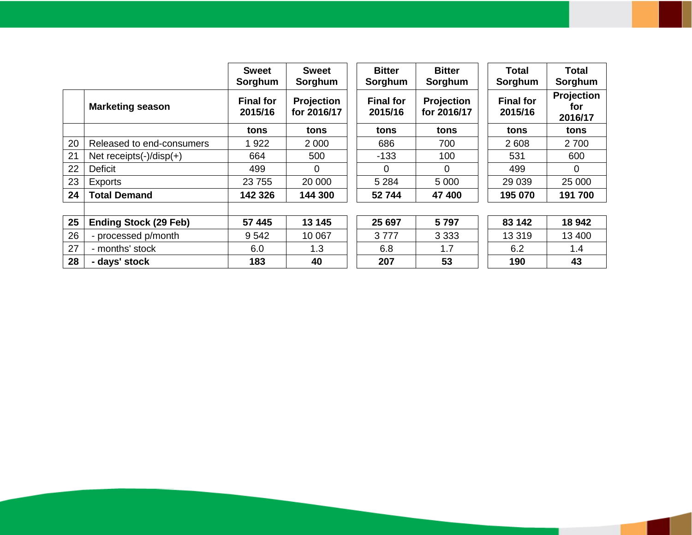|    |                                | <b>Sweet</b><br>Sorghum     | <b>Sweet</b><br>Sorghum          | <b>Bitter</b><br>Sorghum    | <b>Bitter</b><br>Sorghum  | <b>Total</b><br>Sorghum     | Total<br>Sorghum             |
|----|--------------------------------|-----------------------------|----------------------------------|-----------------------------|---------------------------|-----------------------------|------------------------------|
|    | <b>Marketing season</b>        | <b>Final for</b><br>2015/16 | <b>Projection</b><br>for 2016/17 | <b>Final for</b><br>2015/16 | Projection<br>for 2016/17 | <b>Final for</b><br>2015/16 | Projection<br>for<br>2016/17 |
|    |                                | tons                        | tons                             | tons                        | tons                      | tons                        | tons                         |
| 20 | Released to end-consumers      | 1922                        | 2 0 0 0                          | 686                         | 700                       | 2 608                       | 2 700                        |
| 21 | Net receipts $(-)/$ disp $(+)$ | 664                         | 500                              | $-133$                      | 100                       | 531                         | 600                          |
| 22 | <b>Deficit</b>                 | 499                         | $\Omega$                         | 0                           | $\mathbf 0$               | 499                         | $\overline{0}$               |
| 23 | <b>Exports</b>                 | 23 755                      | 20 000                           | 5 2 8 4                     | 5 0 0 0                   | 29 0 39                     | 25 000                       |
| 24 | <b>Total Demand</b>            | 142 326                     | 144 300                          | 52 744                      | 47 400                    | 195 070                     | 191700                       |
| 25 | <b>Ending Stock (29 Feb)</b>   | 57 445                      | 13 145                           | 25 697                      | 5797                      | 83 142                      | 18 942                       |
| 26 | - processed p/month            | 9 5 4 2                     | 10 067                           | 3777                        | 3 3 3 3                   | 13 319                      | 13 400                       |
| 27 | - months' stock                | 6.0                         | 1.3                              | 6.8                         | 1.7                       | 6.2                         | 1.4                          |
| 28 | - days' stock                  | 183                         | 40                               | 207                         | 53                        | 190                         | 43                           |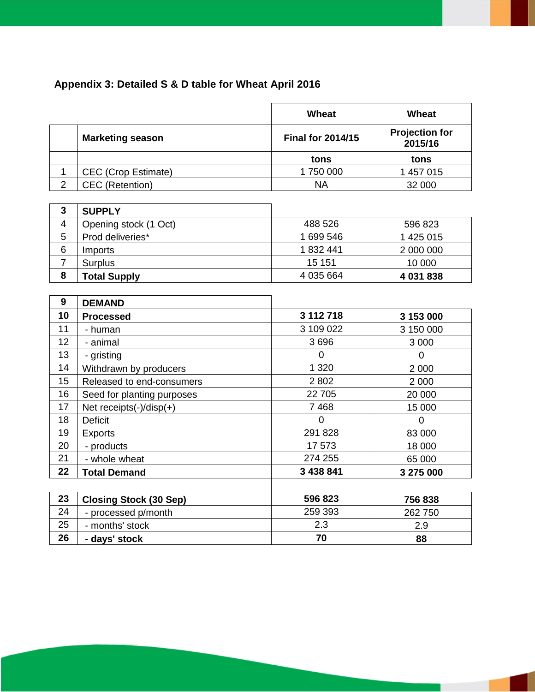# **Appendix 3: Detailed S & D table for Wheat April 2016**

|                |                                | Wheat                    | <b>Wheat</b>                     |
|----------------|--------------------------------|--------------------------|----------------------------------|
|                | <b>Marketing season</b>        | <b>Final for 2014/15</b> | <b>Projection for</b><br>2015/16 |
|                |                                | tons                     | tons                             |
| $\mathbf 1$    | <b>CEC</b> (Crop Estimate)     | 1750000                  | 1 457 015                        |
| $\overline{2}$ | <b>CEC</b> (Retention)         | <b>NA</b>                | 32 000                           |
|                |                                |                          |                                  |
| 3              | <b>SUPPLY</b>                  |                          |                                  |
| $\overline{4}$ | Opening stock (1 Oct)          | 488 526                  | 596 823                          |
| 5              | Prod deliveries*               | 1 699 546                | 1 425 015                        |
| 6              | Imports                        | 1832441                  | 2 000 000                        |
| $\overline{7}$ | Surplus                        | 15 151                   | 10 000                           |
| 8              | <b>Total Supply</b>            | 4 035 664                | 4 031 838                        |
|                |                                |                          |                                  |
| 9              | <b>DEMAND</b>                  |                          |                                  |
| 10             | <b>Processed</b>               | 3 112 718                | 3 153 000                        |
| 11             | - human                        | 3 109 022                | 3 150 000                        |
| 12             | - animal                       | 3696                     | 3 0 0 0                          |
| 13             | - gristing                     | $\overline{0}$           | $\mathbf 0$                      |
| 14             | Withdrawn by producers         | 1 3 2 0                  | 2 0 0 0                          |
| 15             | Released to end-consumers      | 2 8 0 2                  | 2 0 0 0                          |
| 16             | Seed for planting purposes     | 22 705                   | 20 000                           |
| 17             | Net receipts $(-)/$ disp $(+)$ | 7 4 6 8                  | 15 000                           |
| 18             | <b>Deficit</b>                 | $\Omega$                 | $\overline{0}$                   |
| 19             | Exports                        | 291 828                  | 83 000                           |
| 20             | - products                     | 17 573                   | 18 000                           |
| 21             | - whole wheat                  | 274 255                  | 65 000                           |
| 22             | <b>Total Demand</b>            | 3 438 841                | 3 275 000                        |
|                |                                |                          |                                  |
| 23             | <b>Closing Stock (30 Sep)</b>  | 596 823                  | 756838                           |
| 24             | - processed p/month            | 259 393                  | 262750                           |
| 25             | - months' stock                | 2.3                      | 2.9                              |
| 26             | - days' stock                  | 70                       | 88                               |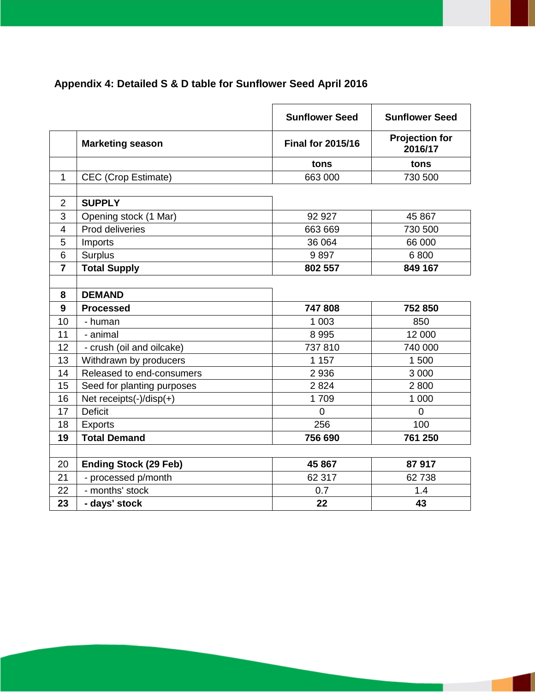# **Appendix 4: Detailed S & D table for Sunflower Seed April 2016**

|                |                              | <b>Sunflower Seed</b>    | <b>Sunflower Seed</b>            |
|----------------|------------------------------|--------------------------|----------------------------------|
|                | <b>Marketing season</b>      | <b>Final for 2015/16</b> | <b>Projection for</b><br>2016/17 |
|                |                              | tons                     | tons                             |
| 1              | CEC (Crop Estimate)          | 663 000                  | 730 500                          |
|                |                              |                          |                                  |
| $\overline{2}$ | <b>SUPPLY</b>                |                          |                                  |
| 3              | Opening stock (1 Mar)        | 92 927                   | 45 867                           |
| 4              | Prod deliveries              | 663 669                  | 730 500                          |
| 5              | Imports                      | 36 064                   | 66 000                           |
| 6              | Surplus                      | 9897                     | 6800                             |
| $\overline{7}$ | <b>Total Supply</b>          | 802 557                  | 849 167                          |
|                |                              |                          |                                  |
| 8              | <b>DEMAND</b>                |                          |                                  |
| 9              | <b>Processed</b>             | 747808                   | 752 850                          |
| 10             | - human                      | 1 0 0 3                  | 850                              |
| 11             | - animal                     | 8995                     | 12 000                           |
| 12             | - crush (oil and oilcake)    | 737810                   | 740 000                          |
| 13             | Withdrawn by producers       | 1 1 5 7                  | 1 500                            |
| 14             | Released to end-consumers    | 2936                     | 3 0 0 0                          |
| 15             | Seed for planting purposes   | 2824                     | 2800                             |
| 16             | Net receipts(-)/disp(+)      | 1709                     | 1 000                            |
| 17             | <b>Deficit</b>               | $\Omega$                 | $\overline{0}$                   |
| 18             | <b>Exports</b>               | 256                      | 100                              |
| 19             | <b>Total Demand</b>          | 756 690                  | 761 250                          |
|                |                              |                          |                                  |
| 20             | <b>Ending Stock (29 Feb)</b> | 45 867                   | 87917                            |
| 21             | - processed p/month          | 62 317                   | 62738                            |
| 22             | - months' stock              | 0.7                      | 1.4                              |
| 23             | - days' stock                | 22                       | 43                               |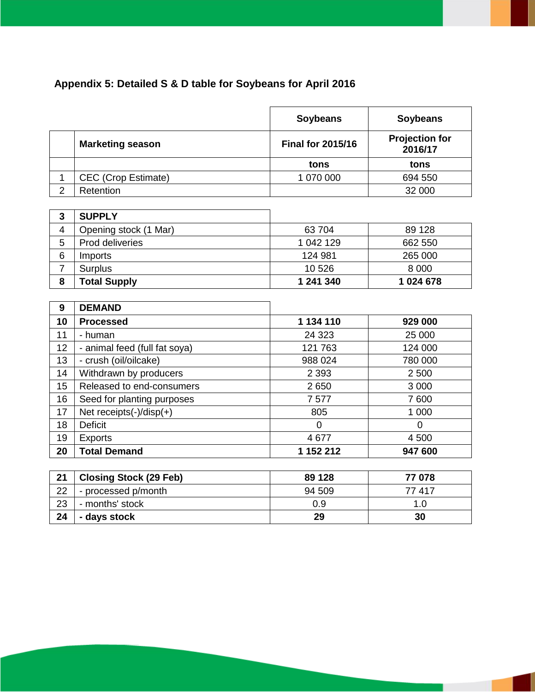# **Appendix 5: Detailed S & D table for Soybeans for April 2016**

|                |                                | <b>Soybeans</b>          | <b>Soybeans</b>                  |
|----------------|--------------------------------|--------------------------|----------------------------------|
|                | <b>Marketing season</b>        | <b>Final for 2015/16</b> | <b>Projection for</b><br>2016/17 |
|                |                                | tons                     | tons                             |
| $\mathbf{1}$   | <b>CEC</b> (Crop Estimate)     | 1 070 000                | 694 550                          |
| $\overline{2}$ | Retention                      |                          | 32 000                           |
|                |                                |                          |                                  |
| 3              | <b>SUPPLY</b>                  |                          |                                  |
| 4              | Opening stock (1 Mar)          | 63 704                   | 89 128                           |
| 5              | Prod deliveries                | 1 042 129                | 662 550                          |
| 6              | Imports                        | 124 981                  | 265 000                          |
| $\overline{7}$ | <b>Surplus</b>                 | 10 526                   | 8 0 0 0                          |
| 8              | <b>Total Supply</b>            | 1 241 340                | 1 024 678                        |
|                |                                |                          |                                  |
| 9              | <b>DEMAND</b>                  |                          |                                  |
| 10             | <b>Processed</b>               | 1 134 110                | 929 000                          |
| 11             | - human                        | 24 3 23                  | 25 000                           |
| 12             | - animal feed (full fat soya)  | 121 763                  | 124 000                          |
| 13             | - crush (oil/oilcake)          | 988 024                  | 780 000                          |
| 14             | Withdrawn by producers         | 2 3 9 3                  | 2 500                            |
| 15             | Released to end-consumers      | 2650                     | 3 0 0 0                          |
| 16             | Seed for planting purposes     | 7577                     | 7600                             |
| 17             | Net receipts $(-)/$ disp $(+)$ | 805                      | 1 000                            |
| 18             | <b>Deficit</b>                 | 0                        | $\overline{0}$                   |
| 19             | <b>Exports</b>                 | 4677                     | 4500                             |
| 20             | <b>Total Demand</b>            | 1 152 212                | 947 600                          |

| 21 | <b>Closing Stock (29 Feb)</b> | 89 1 28 | 77 078 |
|----|-------------------------------|---------|--------|
| 22 | - processed p/month           | 94 509  | 77417  |
| 23 | - months' stock               | 0.9     | 1.0    |
| 24 | - days stock                  | 29      | 30     |